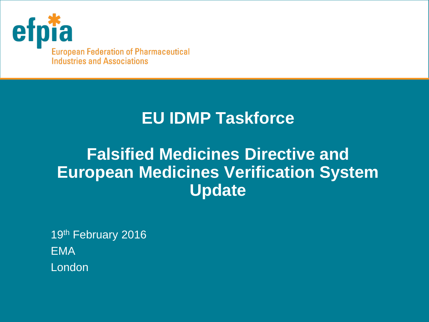

**European Federation of Pharmaceutical Industries and Associations** 

## **EU IDMP Taskforce**

## **Falsified Medicines Directive and European Medicines Verification System Update**

19th February 2016 EMA London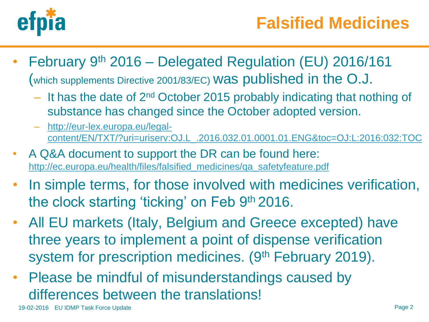

- February 9th 2016 Delegated Regulation (EU) 2016/161 (which supplements Directive 2001/83/EC) was published in the O.J.
	- $-$  It has the date of  $2^{nd}$  October 2015 probably indicating that nothing of substance has changed since the October adopted version.
	- [http://eur-lex.europa.eu/legal](http://eur-lex.europa.eu/legal-content/EN/TXT/?uri=uriserv:OJ.L_.2016.032.01.0001.01.ENG&toc=OJ:L:2016:032:TOC)[content/EN/TXT/?uri=uriserv:OJ.L\\_.2016.032.01.0001.01.ENG&toc=OJ:L:2016:032:TOC](http://eur-lex.europa.eu/legal-content/EN/TXT/?uri=uriserv:OJ.L_.2016.032.01.0001.01.ENG&toc=OJ:L:2016:032:TOC)
- A Q&A document to support the DR can be found here: [http://ec.europa.eu/health/files/falsified\\_medicines/qa\\_safetyfeature.pdf](http://ec.europa.eu/health/files/falsified_medicines/qa_safetyfeature.pdf)
- In simple terms, for those involved with medicines verification, the clock starting 'ticking' on Feb 9th 2016.
- All EU markets (Italy, Belgium and Greece excepted) have three years to implement a point of dispense verification system for prescription medicines. (9<sup>th</sup> February 2019).
- Please be mindful of misunderstandings caused by differences between the translations!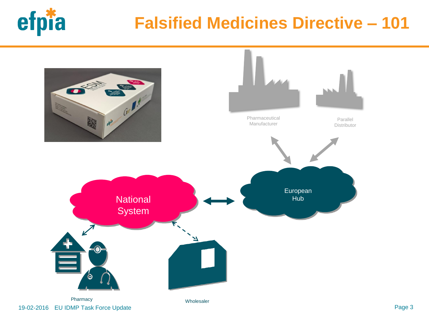

## **Falsified Medicines Directive – 101**

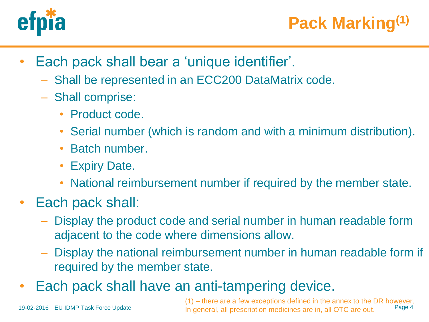

- Each pack shall bear a 'unique identifier'.
	- Shall be represented in an ECC200 DataMatrix code.
	- Shall comprise:
		- Product code.
		- Serial number (which is random and with a minimum distribution).
		- Batch number.
		- Expiry Date.
		- National reimbursement number if required by the member state.
- Each pack shall:
	- Display the product code and serial number in human readable form adjacent to the code where dimensions allow.
	- Display the national reimbursement number in human readable form if required by the member state.
- Each pack shall have an anti-tampering device.

19-02-2016 EU IDMP Task Force Update

Page 4 (1) – there are a few exceptions defined in the annex to the DR however, In general, all prescription medicines are in, all OTC are out.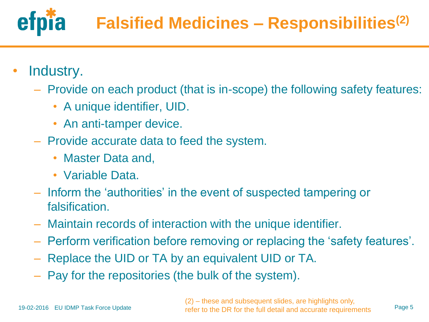

- Industry.
	- Provide on each product (that is in-scope) the following safety features:
		- A unique identifier, UID.
		- An anti-tamper device.
	- Provide accurate data to feed the system.
		- Master Data and,
		- Variable Data.
	- Inform the 'authorities' in the event of suspected tampering or falsification.
	- Maintain records of interaction with the unique identifier.
	- Perform verification before removing or replacing the 'safety features'.
	- Replace the UID or TA by an equivalent UID or TA.
	- Pay for the repositories (the bulk of the system).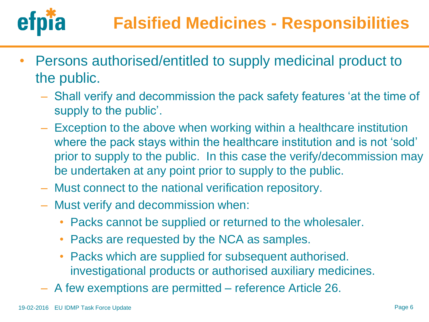

- Persons authorised/entitled to supply medicinal product to the public.
	- Shall verify and decommission the pack safety features 'at the time of supply to the public'.
	- Exception to the above when working within a healthcare institution where the pack stays within the healthcare institution and is not 'sold' prior to supply to the public. In this case the verify/decommission may be undertaken at any point prior to supply to the public.
	- Must connect to the national verification repository.
	- Must verify and decommission when:
		- Packs cannot be supplied or returned to the wholesaler.
		- Packs are requested by the NCA as samples.
		- Packs which are supplied for subsequent authorised. investigational products or authorised auxiliary medicines.
	- A few exemptions are permitted reference Article 26.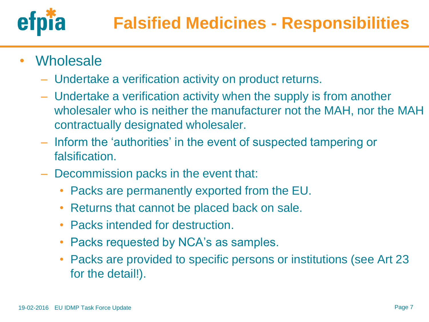

- Wholesale
	- Undertake a verification activity on product returns.
	- Undertake a verification activity when the supply is from another wholesaler who is neither the manufacturer not the MAH, nor the MAH contractually designated wholesaler.
	- Inform the 'authorities' in the event of suspected tampering or falsification.
	- Decommission packs in the event that:
		- Packs are permanently exported from the EU.
		- Returns that cannot be placed back on sale.
		- Packs intended for destruction.
		- Packs requested by NCA's as samples.
		- Packs are provided to specific persons or institutions (see Art 23 for the detail!).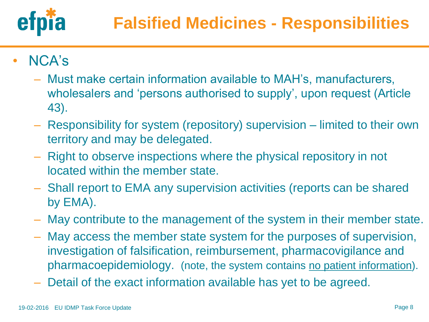

- NCA's
	- Must make certain information available to MAH's, manufacturers, wholesalers and 'persons authorised to supply', upon request (Article 43).
	- Responsibility for system (repository) supervision limited to their own territory and may be delegated.
	- Right to observe inspections where the physical repository in not located within the member state.
	- Shall report to EMA any supervision activities (reports can be shared by EMA).
	- May contribute to the management of the system in their member state.
	- May access the member state system for the purposes of supervision, investigation of falsification, reimbursement, pharmacovigilance and pharmacoepidemiology. (note, the system contains no patient information).
	- Detail of the exact information available has yet to be agreed.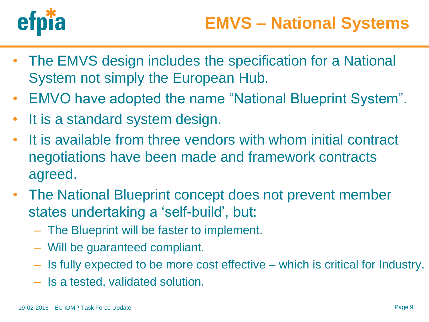

- The EMVS design includes the specification for a National System not simply the European Hub.
- EMVO have adopted the name "National Blueprint System".
- It is a standard system design.
- It is available from three vendors with whom initial contract negotiations have been made and framework contracts agreed.
- The National Blueprint concept does not prevent member states undertaking a 'self-build', but:
	- The Blueprint will be faster to implement.
	- Will be guaranteed compliant.
	- Is fully expected to be more cost effective which is critical for Industry.
	- Is a tested, validated solution.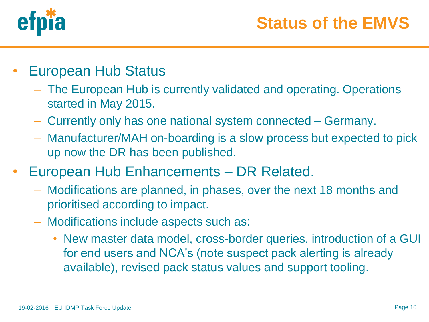

- European Hub Status
	- The European Hub is currently validated and operating. Operations started in May 2015.
	- Currently only has one national system connected Germany.
	- Manufacturer/MAH on-boarding is a slow process but expected to pick up now the DR has been published.
- European Hub Enhancements DR Related.
	- Modifications are planned, in phases, over the next 18 months and prioritised according to impact.
	- Modifications include aspects such as:
		- New master data model, cross-border queries, introduction of a GUI for end users and NCA's (note suspect pack alerting is already available), revised pack status values and support tooling.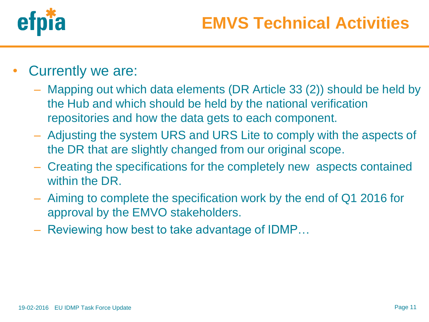

- Currently we are:
	- Mapping out which data elements (DR Article 33 (2)) should be held by the Hub and which should be held by the national verification repositories and how the data gets to each component.
	- Adjusting the system URS and URS Lite to comply with the aspects of the DR that are slightly changed from our original scope.
	- Creating the specifications for the completely new aspects contained within the DR.
	- Aiming to complete the specification work by the end of Q1 2016 for approval by the EMVO stakeholders.
	- Reviewing how best to take advantage of IDMP…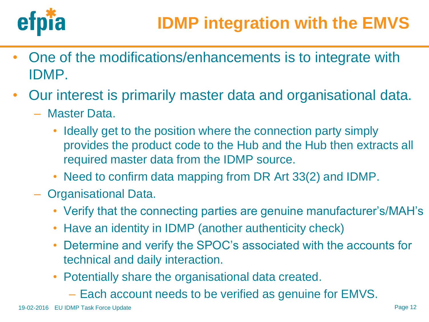

- One of the modifications/enhancements is to integrate with IDMP.
- Our interest is primarily master data and organisational data.
	- Master Data.
		- Ideally get to the position where the connection party simply provides the product code to the Hub and the Hub then extracts all required master data from the IDMP source.
		- Need to confirm data mapping from DR Art 33(2) and IDMP.
	- Organisational Data.
		- Verify that the connecting parties are genuine manufacturer's/MAH's
		- Have an identity in IDMP (another authenticity check)
		- Determine and verify the SPOC's associated with the accounts for technical and daily interaction.
		- Potentially share the organisational data created.
			- Each account needs to be verified as genuine for EMVS.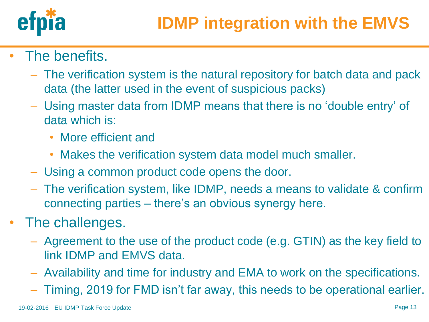

- The benefits.
	- The verification system is the natural repository for batch data and pack data (the latter used in the event of suspicious packs)
	- Using master data from IDMP means that there is no 'double entry' of data which is:
		- More efficient and
		- Makes the verification system data model much smaller.
	- Using a common product code opens the door.
	- The verification system, like IDMP, needs a means to validate & confirm connecting parties – there's an obvious synergy here.
- The challenges.
	- Agreement to the use of the product code (e.g. GTIN) as the key field to link IDMP and EMVS data.
	- Availability and time for industry and EMA to work on the specifications.
	- Timing, 2019 for FMD isn't far away, this needs to be operational earlier.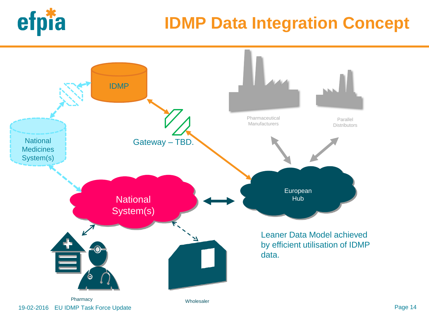

## **IDMP Data Integration Concept**